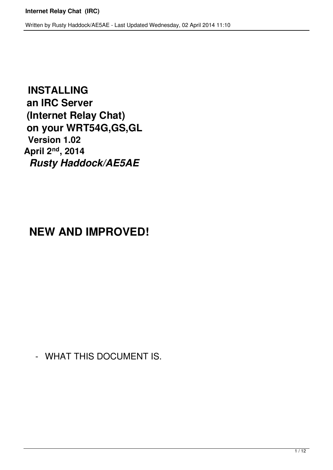**INSTALLING an IRC Server (Internet Relay Chat) on your WRT54G,GS,GL Version 1.02 April 2nd, 2014** *Rusty Haddock/AE5AE*

## **NEW AND IMPROVED!**

- WHAT THIS DOCUMENT IS.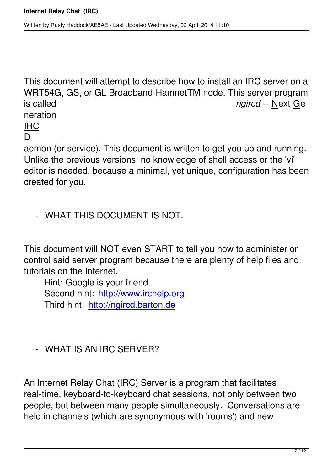This document will attempt to describe how to install an IRC server on a WRT54G, GS, or GL Broadband-HamnetTM node. This server program is called *ngircd* -- Next Ge neration

# IRC

#### D

aemon (or service). This document is written to get you up and running. Unlike the previous versions, no knowledge of shell access or the 'vi' editor is needed, because a minimal, yet unique, configuration has been created for you.

- WHAT THIS DOCUMENT IS NOT.

This document will NOT even START to tell you how to administer or control said server program because there are plenty of help files and tutorials on the Internet.

Hint: Google is your friend. Second hint: http://www.irchelp.org Third hint: http://ngircd.barton.de

- WHAT IS AN IRC SERVER?

An Internet Relay Chat (IRC) Server is a program that facilitates real-time, keyboard-to-keyboard chat sessions, not only between two people, but between many people simultaneously. Conversations are held in channels (which are synonymous with 'rooms') and new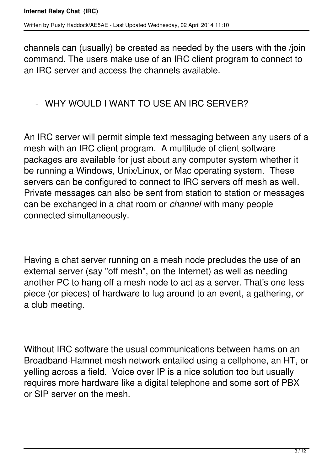channels can (usually) be created as needed by the users with the /join command. The users make use of an IRC client program to connect to an IRC server and access the channels available.

#### - WHY WOULD I WANT TO USE AN IRC SERVER?

An IRC server will permit simple text messaging between any users of a mesh with an IRC client program. A multitude of client software packages are available for just about any computer system whether it be running a Windows, Unix/Linux, or Mac operating system. These servers can be configured to connect to IRC servers off mesh as well. Private messages can also be sent from station to station or messages can be exchanged in a chat room or *channel* with many people connected simultaneously.

Having a chat server running on a mesh node precludes the use of an external server (say "off mesh", on the Internet) as well as needing another PC to hang off a mesh node to act as a server. That's one less piece (or pieces) of hardware to lug around to an event, a gathering, or a club meeting.

Without IRC software the usual communications between hams on an Broadband-Hamnet mesh network entailed using a cellphone, an HT, or yelling across a field. Voice over IP is a nice solution too but usually requires more hardware like a digital telephone and some sort of PBX or SIP server on the mesh.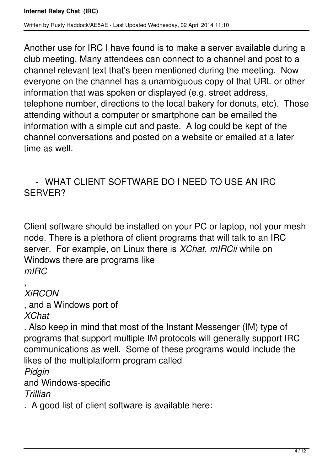Another use for IRC I have found is to make a server available during a club meeting. Many attendees can connect to a channel and post to a channel relevant text that's been mentioned during the meeting. Now everyone on the channel has a unambiguous copy of that URL or other information that was spoken or displayed (e.g. street address, telephone number, directions to the local bakery for donuts, etc). Those attending without a computer or smartphone can be emailed the information with a simple cut and paste. A log could be kept of the channel conversations and posted on a website or emailed at a later time as well.

### - WHAT CLIENT SOFTWARE DO I NEED TO USE AN IRC SERVER?

Client software should be installed on your PC or laptop, not your mesh node. There is a plethora of client programs that will talk to an IRC server. For example, on Linux there is *XChat*, *mIRCii* while on Windows there are programs like *mIRC*

, *XiRCON*

, and a Windows port of *XChat*

. Also keep in mind that most of the Instant Messenger (IM) type of programs that support multiple IM protocols will generally support IRC communications as well. Some of these programs would include the likes of the multiplatform program called

*Pidgin*

and Windows-specific

*Trillian*

. A good list of client software is available here: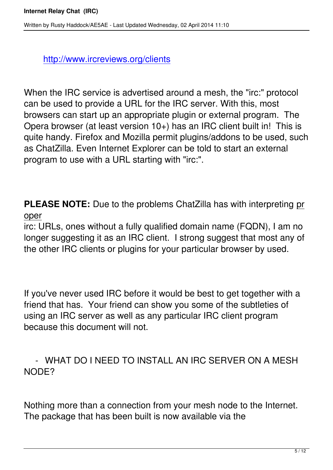http://www.ircreviews.org/clients

Whe[n the IRC service is advertised a](http://www.ircreviews.org/clients)round a mesh, the "irc:" protocol can be used to provide a URL for the IRC server. With this, most browsers can start up an appropriate plugin or external program. The Opera browser (at least version 10+) has an IRC client built in! This is quite handy. Firefox and Mozilla permit plugins/addons to be used, such as ChatZilla. Even Internet Explorer can be told to start an external program to use with a URL starting with "irc:".

**PLEASE NOTE:** Due to the problems ChatZilla has with interpreting pr oper

irc: URLs, ones without a fully qualified domain name (FQDN), I am no longer suggesting it as an IRC client. I strong suggest that most any of the other IRC clients or plugins for your particular browser by used.

If you've never used IRC before it would be best to get together with a friend that has. Your friend can show you some of the subtleties of using an IRC server as well as any particular IRC client program because this document will not.

 - WHAT DO I NEED TO INSTALL AN IRC SERVER ON A MESH NODE?

Nothing more than a connection from your mesh node to the Internet. The package that has been built is now available via the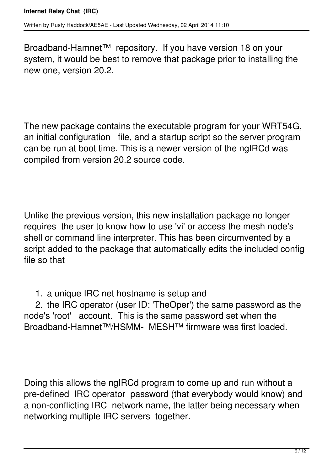Broadband-Hamnet™ repository. If you have version 18 on your system, it would be best to remove that package prior to installing the new one, version 20.2.

The new package contains the executable program for your WRT54G, an initial configuration file, and a startup script so the server program can be run at boot time. This is a newer version of the ngIRCd was compiled from version 20.2 source code.

Unlike the previous version, this new installation package no longer requires the user to know how to use 'vi' or access the mesh node's shell or command line interpreter. This has been circumvented by a script added to the package that automatically edits the included config file so that

1. a unique IRC net hostname is setup and

 2. the IRC operator (user ID: 'TheOper') the same password as the node's 'root' account. This is the same password set when the Broadband-Hamnet™/HSMM- MESH™ firmware was first loaded.

Doing this allows the ngIRCd program to come up and run without a pre-defined IRC operator password (that everybody would know) and a non-conflicting IRC network name, the latter being necessary when networking multiple IRC servers together.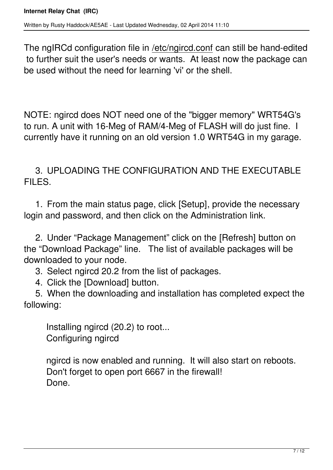The ngIRCd configuration file in /etc/ngircd.conf can still be hand-edited to further suit the user's needs or wants. At least now the package can be used without the need for learning 'vi' or the shell.

NOTE: ngircd does NOT need one of the "bigger memory" WRT54G's to run. A unit with 16-Meg of RAM/4-Meg of FLASH will do just fine. I currently have it running on an old version 1.0 WRT54G in my garage.

 3. UPLOADING THE CONFIGURATION AND THE EXECUTABLE FILES.

 1. From the main status page, click [Setup], provide the necessary login and password, and then click on the Administration link.

 2. Under "Package Management" click on the [Refresh] button on the "Download Package" line. The list of available packages will be downloaded to your node.

3. Select ngircd 20.2 from the list of packages.

4. Click the [Download] button.

 5. When the downloading and installation has completed expect the following:

 Installing ngircd (20.2) to root... Configuring ngircd

 ngircd is now enabled and running. It will also start on reboots. Don't forget to open port 6667 in the firewall! Done.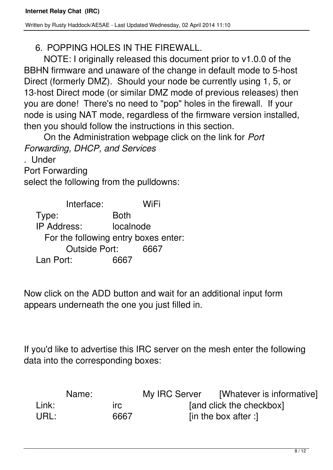6. POPPING HOLES IN THE FIREWALL.

NOTE: I originally released this document prior to v1.0.0 of the BBHN firmware and unaware of the change in default mode to 5-host Direct (formerly DMZ). Should your node be currently using 1, 5, or 13-host Direct mode (or similar DMZ mode of previous releases) then you are done! There's no need to "pop" holes in the firewall. If your node is using NAT mode, regardless of the firmware version installed, then you should follow the instructions in this section.

On the Administration webpage click on the link for *Port Forwarding, DHCP, and Services*

. Under

Port Forwarding

select the following from the pulldowns:

 Interface: WiFi Type: Both IP Address: localnode For the following entry boxes enter: Outside Port: 6667 Lan Port: 6667

Now click on the ADD button and wait for an additional input form appears underneath the one you just filled in.

If you'd like to advertise this IRC server on the mesh enter the following data into the corresponding boxes:

| Name: |            | My IRC Server | [Whatever is informative] |
|-------|------------|---------------|---------------------------|
| Link: | <b>Irc</b> |               | [and click the checkbox]  |
| URL:  | 6667       |               | [in the box after :]      |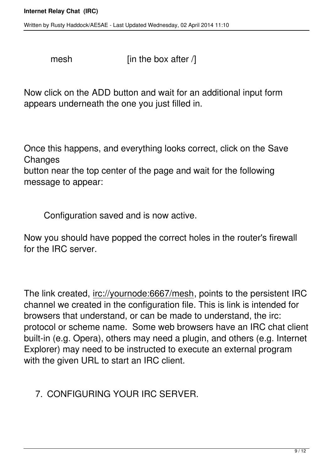Written by Rusty Haddock/AE5AE - Last Updated Wednesday, 02 April 2014 11:10

mesh  $[$ in the box after  $/$ ]

Now click on the ADD button and wait for an additional input form appears underneath the one you just filled in.

Once this happens, and everything looks correct, click on the Save **Changes** 

button near the top center of the page and wait for the following message to appear:

Configuration saved and is now active.

Now you should have popped the correct holes in the router's firewall for the IRC server.

The link created, irc://yournode:6667/mesh, points to the persistent IRC channel we created in the configuration file. This is link is intended for browsers that understand, or can be made to understand, the irc: protocol or scheme name. Some web browsers have an IRC chat client built-in (e.g. Opera), others may need a plugin, and others (e.g. Internet Explorer) may need to be instructed to execute an external program with the given URL to start an IRC client.

7. CONFIGURING YOUR IRC SERVER.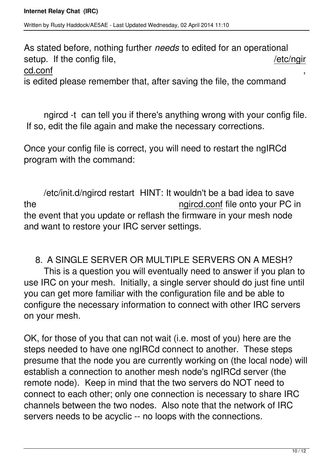As stated before, nothing further *needs* to edited for an operational setup. If the config file,  $/etc$ /ngir

cd.conf ,

is edited please remember that, after saving the file, the command

ngircd -t can tell you if there's anything wrong with your config file. If so, edit the file again and make the necessary corrections.

Once your config file is correct, you will need to restart the ngIRCd program with the command:

/etc/init.d/ngircd restart HINT: It wouldn't be a bad idea to save the ngircd.conf file onto your PC in the event that you update or reflash the firmware in your mesh node and want to restore your IRC server settings.

#### 8. A SINGLE SERVER OR MULTIPLE SERVERS ON A MESH?

This is a question you will eventually need to answer if you plan to use IRC on your mesh. Initially, a single server should do just fine until you can get more familiar with the configuration file and be able to configure the necessary information to connect with other IRC servers on your mesh.

OK, for those of you that can not wait (i.e. most of you) here are the steps needed to have one ngIRCd connect to another. These steps presume that the node you are currently working on (the local node) will establish a connection to another mesh node's ngIRCd server (the remote node). Keep in mind that the two servers do NOT need to connect to each other; only one connection is necessary to share IRC channels between the two nodes. Also note that the network of IRC servers needs to be acyclic -- no loops with the connections.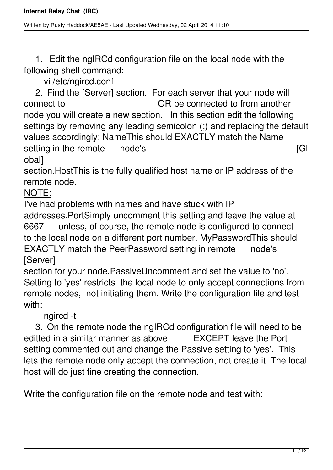1. Edit the ngIRCd configuration file on the local node with the following shell command:

vi /etc/ngircd.conf

 2. Find the [Server] section. For each server that your node will connect to OR be connected to from another node you will create a new section. In this section edit the following settings by removing any leading semicolon (;) and replacing the default values accordingly: NameThis should EXACTLY match the Name setting in the remote node's and a setting in the remote node's and a setting in the remote node's obal]

section.HostThis is the fully qualified host name or IP address of the remote node.

NOTE:

I've had problems with names and have stuck with IP

addresses.PortSimply uncomment this setting and leave the value at 6667 unless, of course, the remote node is configured to connect to the local node on a different port number. MyPasswordThis should EXACTLY match the PeerPassword setting in remote node's [Server]

section for your node.PassiveUncomment and set the value to 'no'. Setting to 'yes' restricts the local node to only accept connections from remote nodes, not initiating them. Write the configuration file and test with:

ngircd -t

 3. On the remote node the ngIRCd configuration file will need to be editted in a similar manner as above EXCEPT leave the Port setting commented out and change the Passive setting to 'yes'. This lets the remote node only accept the connection, not create it. The local host will do just fine creating the connection.

Write the configuration file on the remote node and test with: